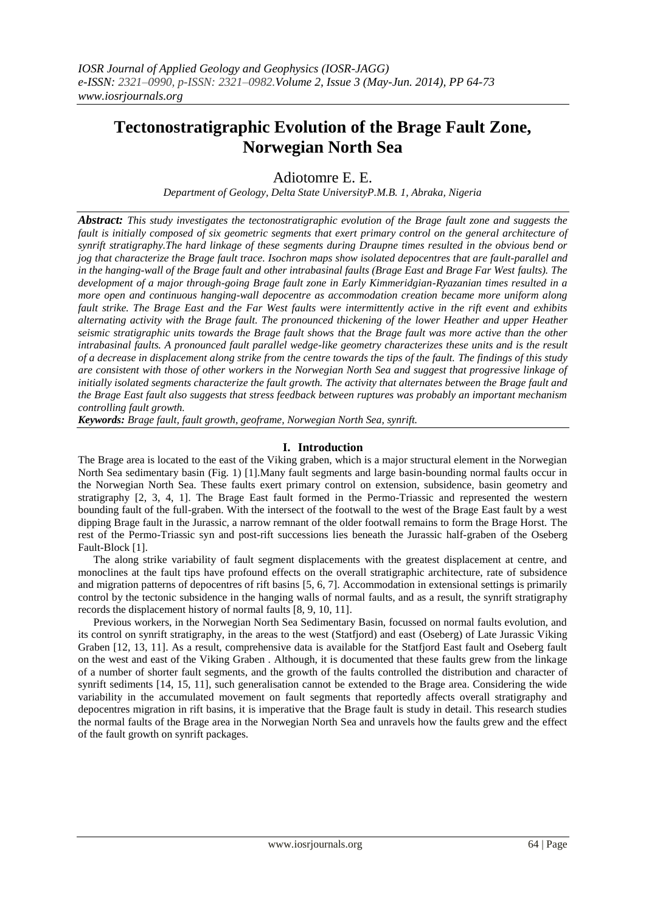# **Tectonostratigraphic Evolution of the Brage Fault Zone, Norwegian North Sea**

# Adiotomre E. E.

*Department of Geology, Delta State UniversityP.M.B. 1, Abraka, Nigeria*

*Abstract: This study investigates the tectonostratigraphic evolution of the Brage fault zone and suggests the fault is initially composed of six geometric segments that exert primary control on the general architecture of synrift stratigraphy.The hard linkage of these segments during Draupne times resulted in the obvious bend or jog that characterize the Brage fault trace. Isochron maps show isolated depocentres that are fault-parallel and in the hanging-wall of the Brage fault and other intrabasinal faults (Brage East and Brage Far West faults). The development of a major through-going Brage fault zone in Early Kimmeridgian-Ryazanian times resulted in a more open and continuous hanging-wall depocentre as accommodation creation became more uniform along fault strike. The Brage East and the Far West faults were intermittently active in the rift event and exhibits alternating activity with the Brage fault. The pronounced thickening of the lower Heather and upper Heather seismic stratigraphic units towards the Brage fault shows that the Brage fault was more active than the other intrabasinal faults. A pronounced fault parallel wedge-like geometry characterizes these units and is the result of a decrease in displacement along strike from the centre towards the tips of the fault. The findings of this study are consistent with those of other workers in the Norwegian North Sea and suggest that progressive linkage of initially isolated segments characterize the fault growth. The activity that alternates between the Brage fault and the Brage East fault also suggests that stress feedback between ruptures was probably an important mechanism controlling fault growth.*

*Keywords: Brage fault, fault growth, geoframe, Norwegian North Sea, synrift.*

# **I. Introduction**

The Brage area is located to the east of the Viking graben, which is a major structural element in the Norwegian North Sea sedimentary basin (Fig. 1) [1].Many fault segments and large basin-bounding normal faults occur in the Norwegian North Sea. These faults exert primary control on extension, subsidence, basin geometry and stratigraphy [2, 3, 4, 1]. The Brage East fault formed in the Permo-Triassic and represented the western bounding fault of the full-graben. With the intersect of the footwall to the west of the Brage East fault by a west dipping Brage fault in the Jurassic, a narrow remnant of the older footwall remains to form the Brage Horst. The rest of the Permo-Triassic syn and post-rift successions lies beneath the Jurassic half-graben of the Oseberg Fault-Block [1].

The along strike variability of fault segment displacements with the greatest displacement at centre, and monoclines at the fault tips have profound effects on the overall stratigraphic architecture, rate of subsidence and migration patterns of depocentres of rift basins [5, 6, 7]. Accommodation in extensional settings is primarily control by the tectonic subsidence in the hanging walls of normal faults, and as a result, the synrift stratigraphy records the displacement history of normal faults [8, 9, 10, 11].

Previous workers, in the Norwegian North Sea Sedimentary Basin, focussed on normal faults evolution, and its control on synrift stratigraphy, in the areas to the west (Statfjord) and east (Oseberg) of Late Jurassic Viking Graben [12, 13, 11]. As a result, comprehensive data is available for the Statfjord East fault and Oseberg fault on the west and east of the Viking Graben . Although, it is documented that these faults grew from the linkage of a number of shorter fault segments, and the growth of the faults controlled the distribution and character of synrift sediments [14, 15, 11], such generalisation cannot be extended to the Brage area. Considering the wide variability in the accumulated movement on fault segments that reportedly affects overall stratigraphy and depocentres migration in rift basins, it is imperative that the Brage fault is study in detail. This research studies the normal faults of the Brage area in the Norwegian North Sea and unravels how the faults grew and the effect of the fault growth on synrift packages.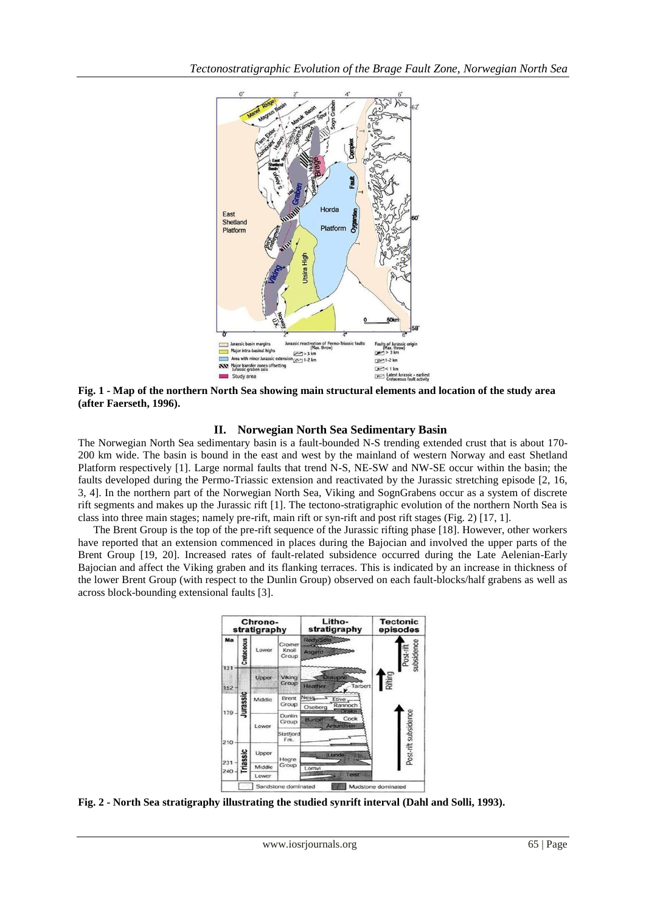

**Fig. 1 - Map of the northern North Sea showing main structural elements and location of the study area (after Faerseth, 1996).**

# **II. Norwegian North Sea Sedimentary Basin**

The Norwegian North Sea sedimentary basin is a fault-bounded N-S trending extended crust that is about 170- 200 km wide. The basin is bound in the east and west by the mainland of western Norway and east Shetland Platform respectively [1]. Large normal faults that trend N-S, NE-SW and NW-SE occur within the basin; the faults developed during the Permo-Triassic extension and reactivated by the Jurassic stretching episode [2, 16, 3, 4]. In the northern part of the Norwegian North Sea, Viking and SognGrabens occur as a system of discrete rift segments and makes up the Jurassic rift [1]. The tectono-stratigraphic evolution of the northern North Sea is class into three main stages; namely pre-rift, main rift or syn-rift and post rift stages (Fig. 2) [17, 1].

The Brent Group is the top of the pre-rift sequence of the Jurassic rifting phase [18]. However, other workers have reported that an extension commenced in places during the Bajocian and involved the upper parts of the Brent Group [19, 20]. Increased rates of fault-related subsidence occurred during the Late Aelenian-Early Bajocian and affect the Viking graben and its flanking terraces. This is indicated by an increase in thickness of the lower Brent Group (with respect to the Dunlin Group) observed on each fault-blocks/half grabens as well as across block-bounding extensional faults [3].



**Fig. 2 - North Sea stratigraphy illustrating the studied synrift interval (Dahl and Solli, 1993).**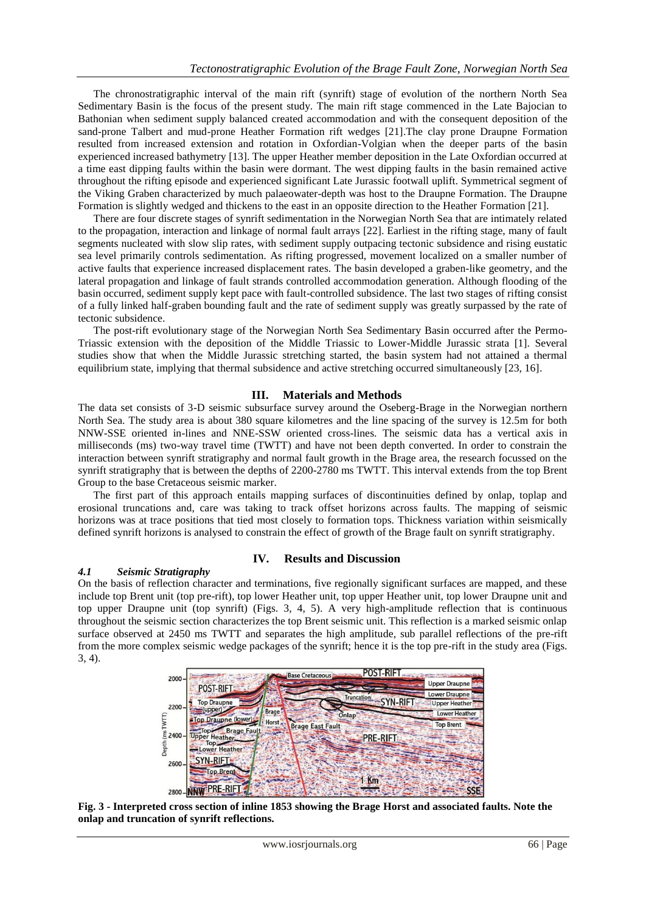The chronostratigraphic interval of the main rift (synrift) stage of evolution of the northern North Sea Sedimentary Basin is the focus of the present study. The main rift stage commenced in the Late Bajocian to Bathonian when sediment supply balanced created accommodation and with the consequent deposition of the sand-prone Talbert and mud-prone Heather Formation rift wedges [21].The clay prone Draupne Formation resulted from increased extension and rotation in Oxfordian-Volgian when the deeper parts of the basin experienced increased bathymetry [13]. The upper Heather member deposition in the Late Oxfordian occurred at a time east dipping faults within the basin were dormant. The west dipping faults in the basin remained active throughout the rifting episode and experienced significant Late Jurassic footwall uplift. Symmetrical segment of the Viking Graben characterized by much palaeowater-depth was host to the Draupne Formation. The Draupne Formation is slightly wedged and thickens to the east in an opposite direction to the Heather Formation [21].

There are four discrete stages of synrift sedimentation in the Norwegian North Sea that are intimately related to the propagation, interaction and linkage of normal fault arrays [22]. Earliest in the rifting stage, many of fault segments nucleated with slow slip rates, with sediment supply outpacing tectonic subsidence and rising eustatic sea level primarily controls sedimentation. As rifting progressed, movement localized on a smaller number of active faults that experience increased displacement rates. The basin developed a graben-like geometry, and the lateral propagation and linkage of fault strands controlled accommodation generation. Although flooding of the basin occurred, sediment supply kept pace with fault-controlled subsidence. The last two stages of rifting consist of a fully linked half-graben bounding fault and the rate of sediment supply was greatly surpassed by the rate of tectonic subsidence.

The post-rift evolutionary stage of the Norwegian North Sea Sedimentary Basin occurred after the Permo-Triassic extension with the deposition of the Middle Triassic to Lower-Middle Jurassic strata [1]. Several studies show that when the Middle Jurassic stretching started, the basin system had not attained a thermal equilibrium state, implying that thermal subsidence and active stretching occurred simultaneously [23, 16].

### **III. Materials and Methods**

The data set consists of 3-D seismic subsurface survey around the Oseberg-Brage in the Norwegian northern North Sea. The study area is about 380 square kilometres and the line spacing of the survey is 12.5m for both NNW-SSE oriented in-lines and NNE-SSW oriented cross-lines. The seismic data has a vertical axis in milliseconds (ms) two-way travel time (TWTT) and have not been depth converted. In order to constrain the interaction between synrift stratigraphy and normal fault growth in the Brage area, the research focussed on the synrift stratigraphy that is between the depths of 2200-2780 ms TWTT. This interval extends from the top Brent Group to the base Cretaceous seismic marker.

The first part of this approach entails mapping surfaces of discontinuities defined by onlap, toplap and erosional truncations and, care was taking to track offset horizons across faults. The mapping of seismic horizons was at trace positions that tied most closely to formation tops. Thickness variation within seismically defined synrift horizons is analysed to constrain the effect of growth of the Brage fault on synrift stratigraphy.

### *4.1 Seismic Stratigraphy*

### **IV. Results and Discussion**

On the basis of reflection character and terminations, five regionally significant surfaces are mapped, and these include top Brent unit (top pre-rift), top lower Heather unit, top upper Heather unit, top lower Draupne unit and top upper Draupne unit (top synrift) (Figs. 3, 4, 5). A very high-amplitude reflection that is continuous throughout the seismic section characterizes the top Brent seismic unit. This reflection is a marked seismic onlap surface observed at 2450 ms TWTT and separates the high amplitude, sub parallel reflections of the pre-rift from the more complex seismic wedge packages of the synrift; hence it is the top pre-rift in the study area (Figs. 3, 4).



**Fig. 3 - Interpreted cross section of inline 1853 showing the Brage Horst and associated faults. Note the onlap and truncation of synrift reflections.**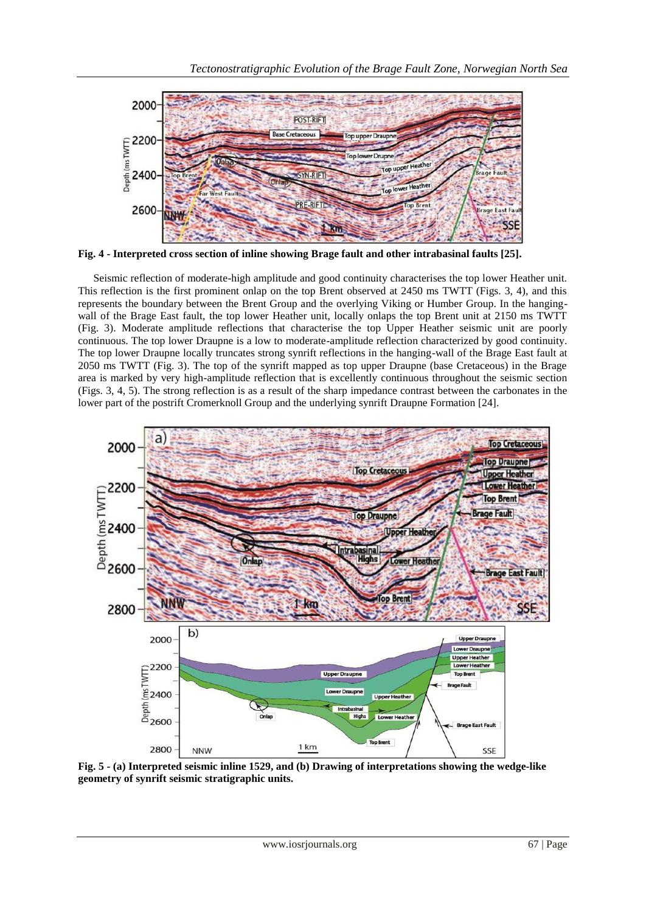

**Fig. 4 - Interpreted cross section of inline showing Brage fault and other intrabasinal faults [25].**

Seismic reflection of moderate-high amplitude and good continuity characterises the top lower Heather unit. This reflection is the first prominent onlap on the top Brent observed at 2450 ms TWTT (Figs. 3, 4), and this represents the boundary between the Brent Group and the overlying Viking or Humber Group. In the hangingwall of the Brage East fault, the top lower Heather unit, locally onlaps the top Brent unit at 2150 ms TWTT (Fig. 3). Moderate amplitude reflections that characterise the top Upper Heather seismic unit are poorly continuous. The top lower Draupne is a low to moderate-amplitude reflection characterized by good continuity. The top lower Draupne locally truncates strong synrift reflections in the hanging-wall of the Brage East fault at 2050 ms TWTT (Fig. 3). The top of the synrift mapped as top upper Draupne (base Cretaceous) in the Brage area is marked by very high-amplitude reflection that is excellently continuous throughout the seismic section (Figs. 3, 4, 5). The strong reflection is as a result of the sharp impedance contrast between the carbonates in the lower part of the postrift Cromerknoll Group and the underlying synrift Draupne Formation [24].



**Fig. 5 - (a) Interpreted seismic inline 1529, and (b) Drawing of interpretations showing the wedge-like geometry of synrift seismic stratigraphic units.**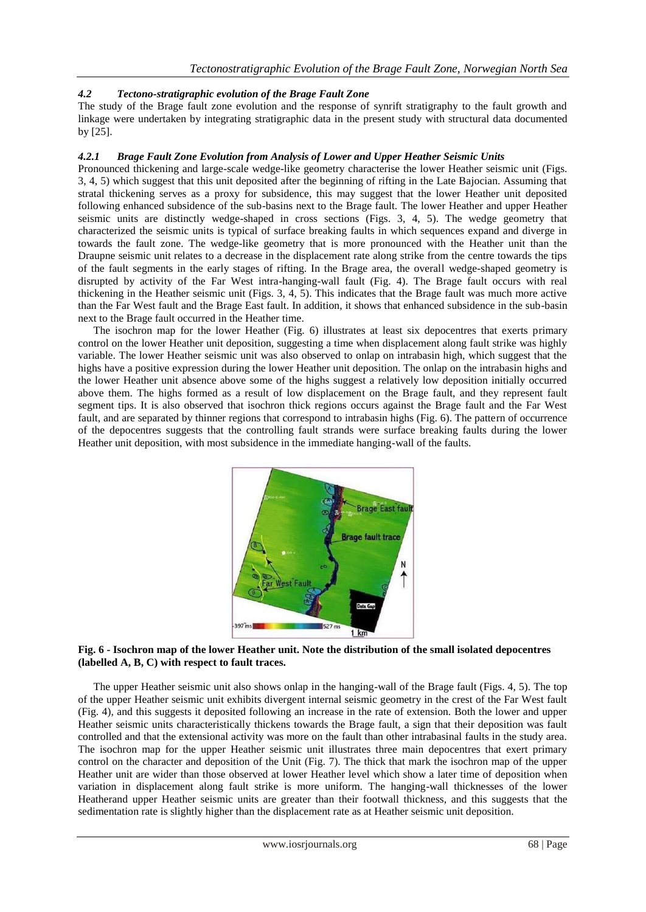# *4.2 Tectono-stratigraphic evolution of the Brage Fault Zone*

The study of the Brage fault zone evolution and the response of synrift stratigraphy to the fault growth and linkage were undertaken by integrating stratigraphic data in the present study with structural data documented by [25].

#### *4.2.1 Brage Fault Zone Evolution from Analysis of Lower and Upper Heather Seismic Units*

Pronounced thickening and large-scale wedge-like geometry characterise the lower Heather seismic unit (Figs. 3, 4, 5) which suggest that this unit deposited after the beginning of rifting in the Late Bajocian. Assuming that stratal thickening serves as a proxy for subsidence, this may suggest that the lower Heather unit deposited following enhanced subsidence of the sub-basins next to the Brage fault. The lower Heather and upper Heather seismic units are distinctly wedge-shaped in cross sections (Figs. 3, 4, 5). The wedge geometry that characterized the seismic units is typical of surface breaking faults in which sequences expand and diverge in towards the fault zone. The wedge-like geometry that is more pronounced with the Heather unit than the Draupne seismic unit relates to a decrease in the displacement rate along strike from the centre towards the tips of the fault segments in the early stages of rifting. In the Brage area, the overall wedge-shaped geometry is disrupted by activity of the Far West intra-hanging-wall fault (Fig. 4). The Brage fault occurs with real thickening in the Heather seismic unit (Figs. 3, 4, 5). This indicates that the Brage fault was much more active than the Far West fault and the Brage East fault. In addition, it shows that enhanced subsidence in the sub-basin next to the Brage fault occurred in the Heather time.

The isochron map for the lower Heather (Fig. 6) illustrates at least six depocentres that exerts primary control on the lower Heather unit deposition, suggesting a time when displacement along fault strike was highly variable. The lower Heather seismic unit was also observed to onlap on intrabasin high, which suggest that the highs have a positive expression during the lower Heather unit deposition. The onlap on the intrabasin highs and the lower Heather unit absence above some of the highs suggest a relatively low deposition initially occurred above them. The highs formed as a result of low displacement on the Brage fault, and they represent fault segment tips. It is also observed that isochron thick regions occurs against the Brage fault and the Far West fault, and are separated by thinner regions that correspond to intrabasin highs (Fig. 6). The pattern of occurrence of the depocentres suggests that the controlling fault strands were surface breaking faults during the lower Heather unit deposition, with most subsidence in the immediate hanging-wall of the faults.



#### **Fig. 6 - Isochron map of the lower Heather unit. Note the distribution of the small isolated depocentres (labelled A, B, C) with respect to fault traces.**

The upper Heather seismic unit also shows onlap in the hanging-wall of the Brage fault (Figs. 4, 5). The top of the upper Heather seismic unit exhibits divergent internal seismic geometry in the crest of the Far West fault (Fig. 4), and this suggests it deposited following an increase in the rate of extension. Both the lower and upper Heather seismic units characteristically thickens towards the Brage fault, a sign that their deposition was fault controlled and that the extensional activity was more on the fault than other intrabasinal faults in the study area. The isochron map for the upper Heather seismic unit illustrates three main depocentres that exert primary control on the character and deposition of the Unit (Fig. 7). The thick that mark the isochron map of the upper Heather unit are wider than those observed at lower Heather level which show a later time of deposition when variation in displacement along fault strike is more uniform. The hanging-wall thicknesses of the lower Heatherand upper Heather seismic units are greater than their footwall thickness, and this suggests that the sedimentation rate is slightly higher than the displacement rate as at Heather seismic unit deposition.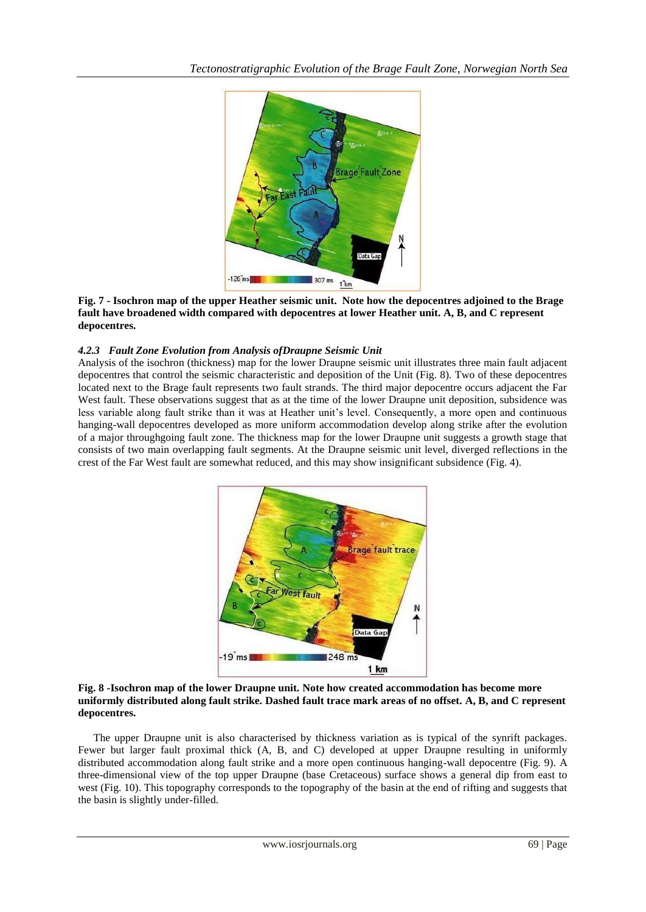

#### **Fig. 7 - Isochron map of the upper Heather seismic unit. Note how the depocentres adjoined to the Brage fault have broadened width compared with depocentres at lower Heather unit. A, B, and C represent depocentres.**

### *4.2.3 Fault Zone Evolution from Analysis ofDraupne Seismic Unit*

Analysis of the isochron (thickness) map for the lower Draupne seismic unit illustrates three main fault adjacent depocentres that control the seismic characteristic and deposition of the Unit (Fig. 8). Two of these depocentres located next to the Brage fault represents two fault strands. The third major depocentre occurs adjacent the Far West fault. These observations suggest that as at the time of the lower Draupne unit deposition, subsidence was less variable along fault strike than it was at Heather unit's level. Consequently, a more open and continuous hanging-wall depocentres developed as more uniform accommodation develop along strike after the evolution of a major throughgoing fault zone. The thickness map for the lower Draupne unit suggests a growth stage that consists of two main overlapping fault segments. At the Draupne seismic unit level, diverged reflections in the crest of the Far West fault are somewhat reduced, and this may show insignificant subsidence (Fig. 4).



#### **Fig. 8 -Isochron map of the lower Draupne unit. Note how created accommodation has become more uniformly distributed along fault strike. Dashed fault trace mark areas of no offset. A, B, and C represent depocentres.**

The upper Draupne unit is also characterised by thickness variation as is typical of the synrift packages. Fewer but larger fault proximal thick (A, B, and C) developed at upper Draupne resulting in uniformly distributed accommodation along fault strike and a more open continuous hanging-wall depocentre (Fig. 9). A three-dimensional view of the top upper Draupne (base Cretaceous) surface shows a general dip from east to west (Fig. 10). This topography corresponds to the topography of the basin at the end of rifting and suggests that the basin is slightly under-filled.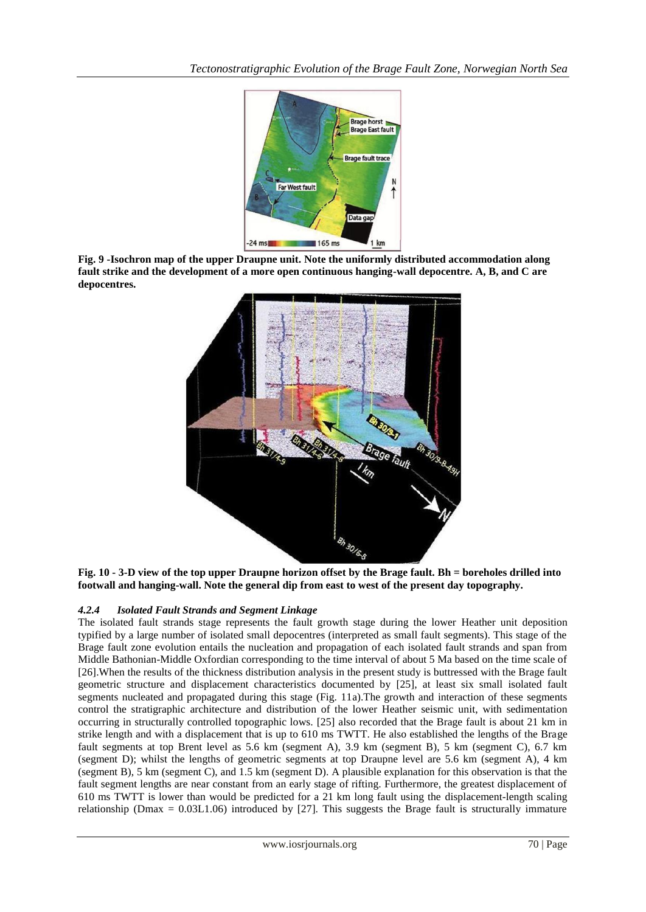

**Fig. 9 -Isochron map of the upper Draupne unit. Note the uniformly distributed accommodation along fault strike and the development of a more open continuous hanging-wall depocentre. A, B, and C are depocentres.**



**Fig. 10 - 3-D view of the top upper Draupne horizon offset by the Brage fault. Bh = boreholes drilled into footwall and hanging-wall. Note the general dip from east to west of the present day topography.**

# *4.2.4 Isolated Fault Strands and Segment Linkage*

The isolated fault strands stage represents the fault growth stage during the lower Heather unit deposition typified by a large number of isolated small depocentres (interpreted as small fault segments). This stage of the Brage fault zone evolution entails the nucleation and propagation of each isolated fault strands and span from Middle Bathonian-Middle Oxfordian corresponding to the time interval of about 5 Ma based on the time scale of [26].When the results of the thickness distribution analysis in the present study is buttressed with the Brage fault geometric structure and displacement characteristics documented by [25], at least six small isolated fault segments nucleated and propagated during this stage (Fig. 11a).The growth and interaction of these segments control the stratigraphic architecture and distribution of the lower Heather seismic unit, with sedimentation occurring in structurally controlled topographic lows. [25] also recorded that the Brage fault is about 21 km in strike length and with a displacement that is up to 610 ms TWTT. He also established the lengths of the Brage fault segments at top Brent level as 5.6 km (segment A), 3.9 km (segment B), 5 km (segment C), 6.7 km (segment D); whilst the lengths of geometric segments at top Draupne level are 5.6 km (segment A), 4 km (segment B), 5 km (segment C), and 1.5 km (segment D). A plausible explanation for this observation is that the fault segment lengths are near constant from an early stage of rifting. Furthermore, the greatest displacement of 610 ms TWTT is lower than would be predicted for a 21 km long fault using the displacement-length scaling relationship (Dmax =  $0.03L1.06$ ) introduced by [27]. This suggests the Brage fault is structurally immature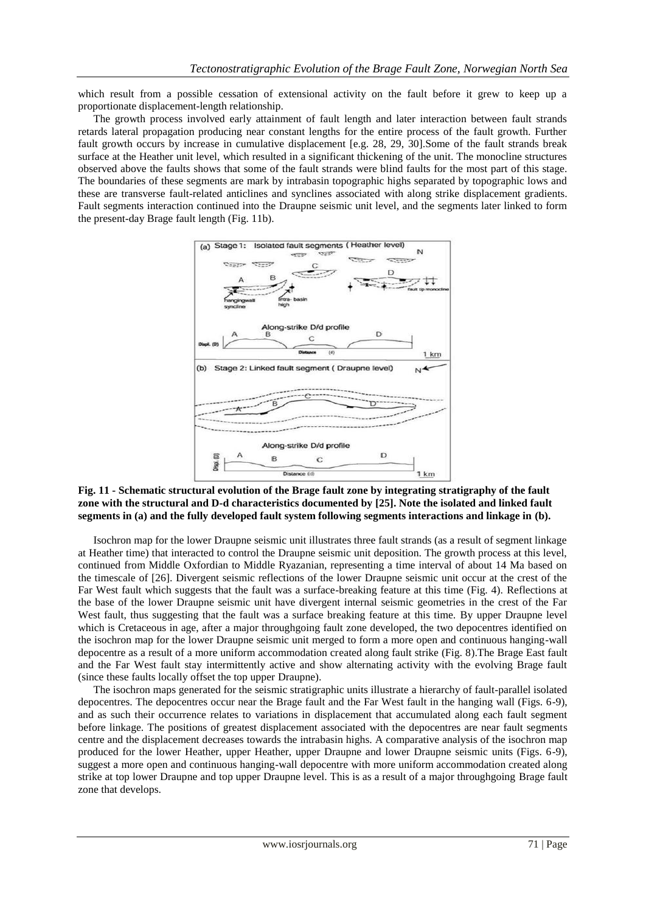which result from a possible cessation of extensional activity on the fault before it grew to keep up a proportionate displacement-length relationship.

The growth process involved early attainment of fault length and later interaction between fault strands retards lateral propagation producing near constant lengths for the entire process of the fault growth. Further fault growth occurs by increase in cumulative displacement [e.g. 28, 29, 30].Some of the fault strands break surface at the Heather unit level, which resulted in a significant thickening of the unit. The monocline structures observed above the faults shows that some of the fault strands were blind faults for the most part of this stage. The boundaries of these segments are mark by intrabasin topographic highs separated by topographic lows and these are transverse fault-related anticlines and synclines associated with along strike displacement gradients. Fault segments interaction continued into the Draupne seismic unit level, and the segments later linked to form the present-day Brage fault length (Fig. 11b).



**Fig. 11 - Schematic structural evolution of the Brage fault zone by integrating stratigraphy of the fault zone with the structural and D-d characteristics documented by [25]. Note the isolated and linked fault segments in (a) and the fully developed fault system following segments interactions and linkage in (b).**

Isochron map for the lower Draupne seismic unit illustrates three fault strands (as a result of segment linkage at Heather time) that interacted to control the Draupne seismic unit deposition. The growth process at this level, continued from Middle Oxfordian to Middle Ryazanian, representing a time interval of about 14 Ma based on the timescale of [26]. Divergent seismic reflections of the lower Draupne seismic unit occur at the crest of the Far West fault which suggests that the fault was a surface-breaking feature at this time (Fig. 4). Reflections at the base of the lower Draupne seismic unit have divergent internal seismic geometries in the crest of the Far West fault, thus suggesting that the fault was a surface breaking feature at this time. By upper Draupne level which is Cretaceous in age, after a major throughgoing fault zone developed, the two depocentres identified on the isochron map for the lower Draupne seismic unit merged to form a more open and continuous hanging-wall depocentre as a result of a more uniform accommodation created along fault strike (Fig. 8).The Brage East fault and the Far West fault stay intermittently active and show alternating activity with the evolving Brage fault (since these faults locally offset the top upper Draupne).

The isochron maps generated for the seismic stratigraphic units illustrate a hierarchy of fault-parallel isolated depocentres. The depocentres occur near the Brage fault and the Far West fault in the hanging wall (Figs. 6-9), and as such their occurrence relates to variations in displacement that accumulated along each fault segment before linkage. The positions of greatest displacement associated with the depocentres are near fault segments centre and the displacement decreases towards the intrabasin highs. A comparative analysis of the isochron map produced for the lower Heather, upper Heather, upper Draupne and lower Draupne seismic units (Figs. 6-9), suggest a more open and continuous hanging-wall depocentre with more uniform accommodation created along strike at top lower Draupne and top upper Draupne level. This is as a result of a major throughgoing Brage fault zone that develops.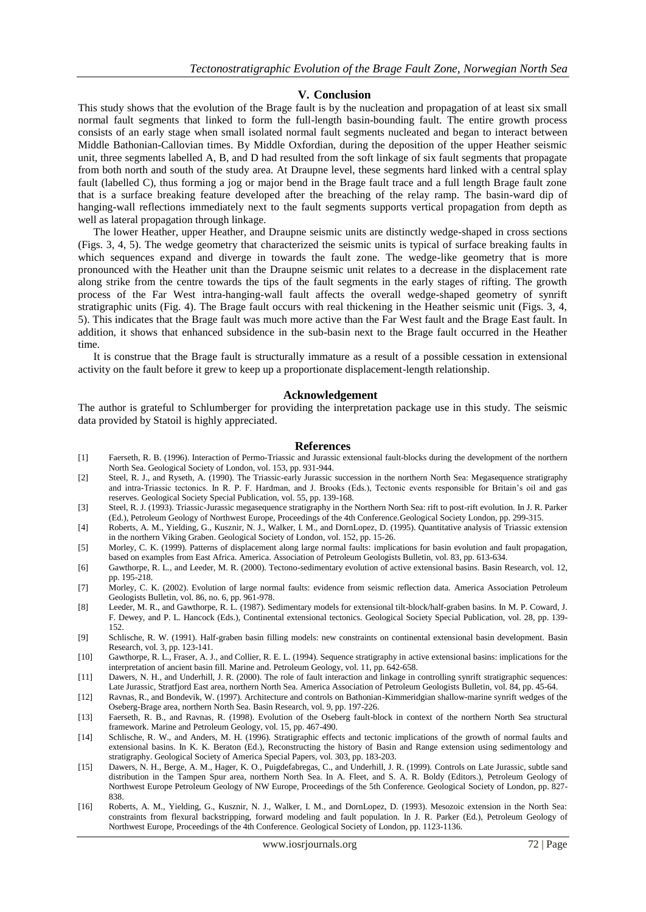#### **V. Conclusion**

This study shows that the evolution of the Brage fault is by the nucleation and propagation of at least six small normal fault segments that linked to form the full-length basin-bounding fault. The entire growth process consists of an early stage when small isolated normal fault segments nucleated and began to interact between Middle Bathonian-Callovian times. By Middle Oxfordian, during the deposition of the upper Heather seismic unit, three segments labelled A, B, and D had resulted from the soft linkage of six fault segments that propagate from both north and south of the study area. At Draupne level, these segments hard linked with a central splay fault (labelled C), thus forming a jog or major bend in the Brage fault trace and a full length Brage fault zone that is a surface breaking feature developed after the breaching of the relay ramp. The basin-ward dip of hanging-wall reflections immediately next to the fault segments supports vertical propagation from depth as well as lateral propagation through linkage.

The lower Heather, upper Heather, and Draupne seismic units are distinctly wedge-shaped in cross sections (Figs. 3, 4, 5). The wedge geometry that characterized the seismic units is typical of surface breaking faults in which sequences expand and diverge in towards the fault zone. The wedge-like geometry that is more pronounced with the Heather unit than the Draupne seismic unit relates to a decrease in the displacement rate along strike from the centre towards the tips of the fault segments in the early stages of rifting. The growth process of the Far West intra-hanging-wall fault affects the overall wedge-shaped geometry of synrift stratigraphic units (Fig. 4). The Brage fault occurs with real thickening in the Heather seismic unit (Figs. 3, 4, 5). This indicates that the Brage fault was much more active than the Far West fault and the Brage East fault. In addition, it shows that enhanced subsidence in the sub-basin next to the Brage fault occurred in the Heather time.

It is construe that the Brage fault is structurally immature as a result of a possible cessation in extensional activity on the fault before it grew to keep up a proportionate displacement-length relationship.

#### **Acknowledgement**

The author is grateful to Schlumberger for providing the interpretation package use in this study. The seismic data provided by Statoil is highly appreciated.

#### **References**

- [1] Faerseth, R. B. (1996). Interaction of Permo-Triassic and Jurassic extensional fault-blocks during the development of the northern North Sea. Geological Society of London, vol. 153, pp. 931-944.
- [2] Steel, R. J., and Ryseth, A. (1990). The Triassic-early Jurassic succession in the northern North Sea: Megasequence stratigraphy and intra-Triassic tectonics. In R. P. F. Hardman, and J. Brooks (Eds.), Tectonic events responsible for Britain's oil and gas reserves. Geological Society Special Publication, vol. 55, pp. 139-168.
- [3] Steel, R. J. (1993). Triassic-Jurassic megasequence stratigraphy in the Northern North Sea: rift to post-rift evolution. In J. R. Parker (Ed.), Petroleum Geology of Northwest Europe, Proceedings of the 4th Conference.Geological Society London, pp. 299-315.
- [4] Roberts, A. M., Yielding, G., Kusznir, N. J., Walker, I. M., and DornLopez, D. (1995). Quantitative analysis of Triassic extension in the northern Viking Graben. Geological Society of London, vol. 152, pp. 15-26.
- [5] Morley, C. K. (1999). Patterns of displacement along large normal faults: implications for basin evolution and fault propagation, based on examples from East Africa. America. Association of Petroleum Geologists Bulletin, vol. 83, pp. 613-634.
- [6] Gawthorpe, R. L., and Leeder, M. R. (2000). Tectono-sedimentary evolution of active extensional basins. Basin Research, vol. 12, pp. 195-218.
- [7] Morley, C. K. (2002). Evolution of large normal faults: evidence from seismic reflection data. America Association Petroleum Geologists Bulletin, vol. 86, no. 6, pp. 961-978.
- [8] Leeder, M. R., and Gawthorpe, R. L. (1987). Sedimentary models for extensional tilt-block/half-graben basins. In M. P. Coward, J. F. Dewey, and P. L. Hancock (Eds.), Continental extensional tectonics. Geological Society Special Publication, vol. 28, pp. 139- 152.
- [9] Schlische, R. W. (1991). Half-graben basin filling models: new constraints on continental extensional basin development. Basin Research, vol. 3, pp. 123-141.
- [10] Gawthorpe, R. L., Fraser, A. J., and Collier, R. E. L. (1994). Sequence stratigraphy in active extensional basins: implications for the interpretation of ancient basin fill. Marine and. Petroleum Geology, vol. 11, pp. 642-658.
- [11] Dawers, N. H., and Underhill, J. R. (2000). The role of fault interaction and linkage in controlling synrift stratigraphic sequences: Late Jurassic, Stratfjord East area, northern North Sea. America Association of Petroleum Geologists Bulletin, vol. 84, pp. 45-64.
- [12] Ravnas, R., and Bondevik, W. (1997). Architecture and controls on Bathonian-Kimmeridgian shallow-marine synrift wedges of the Oseberg-Brage area, northern North Sea. Basin Research, vol. 9, pp. 197-226.
- [13] Faerseth, R. B., and Ravnas, R. (1998). Evolution of the Oseberg fault-block in context of the northern North Sea structural framework. Marine and Petroleum Geology, vol. 15, pp. 467-490.
- [14] Schlische, R. W., and Anders, M. H. (1996). Stratigraphic effects and tectonic implications of the growth of normal faults and extensional basins. In K. K. Beraton (Ed.), Reconstructing the history of Basin and Range extension using sedimentology and stratigraphy. Geological Society of America Special Papers, vol. 303, pp. 183-203.
- [15] Dawers, N. H., Berge, A. M., Hager, K. O., Puigdefabregas, C., and Underhill, J. R. (1999). Controls on Late Jurassic, subtle sand distribution in the Tampen Spur area, northern North Sea. In A. Fleet, and S. A. R. Boldy (Editors.), Petroleum Geology of Northwest Europe Petroleum Geology of NW Europe, Proceedings of the 5th Conference. Geological Society of London, pp. 827- 838.
- [16] Roberts, A. M., Yielding, G., Kusznir, N. J., Walker, I. M., and DornLopez, D. (1993). Mesozoic extension in the North Sea: constraints from flexural backstripping, forward modeling and fault population. In J. R. Parker (Ed.), Petroleum Geology of Northwest Europe, Proceedings of the 4th Conference. Geological Society of London, pp. 1123-1136.